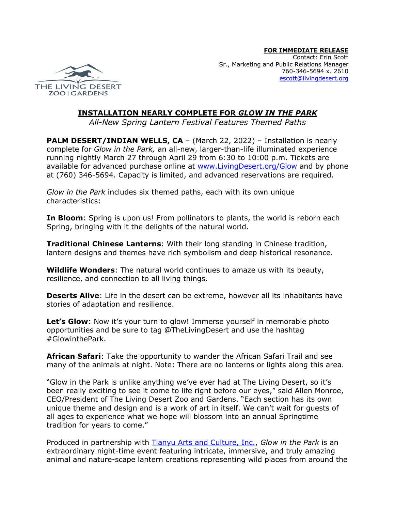

## **INSTALLATION NEARLY COMPLETE FOR** *GLOW IN THE PARK*

*All-New Spring Lantern Festival Features Themed Paths*

**PALM DESERT/INDIAN WELLS, CA** – (March 22, 2022) – Installation is nearly complete for *Glow in the Park,* an all-new, larger-than-life illuminated experience running nightly March 27 through April 29 from 6:30 to 10:00 p.m. Tickets are available for advanced purchase online at www.LivingDesert.org/Glow and by phone at (760) 346-5694. Capacity is limited, and advanced reservations are required.

*Glow in the Park* includes six themed paths, each with its own unique characteristics:

**In Bloom**: Spring is upon us! From pollinators to plants, the world is reborn each Spring, bringing with it the delights of the natural world.

**Traditional Chinese Lanterns**: With their long standing in Chinese tradition, lantern designs and themes have rich symbolism and deep historical resonance.

**Wildlife Wonders**: The natural world continues to amaze us with its beauty, resilience, and connection to all living things.

**Deserts Alive**: Life in the desert can be extreme, however all its inhabitants have stories of adaptation and resilience.

**Let's Glow**: Now it's your turn to glow! Immerse yourself in memorable photo opportunities and be sure to tag @TheLivingDesert and use the hashtag #GlowinthePark.

**African Safari**: Take the opportunity to wander the African Safari Trail and see many of the animals at night. Note: There are no lanterns or lights along this area.

"Glow in the Park is unlike anything we've ever had at The Living Desert, so it's been really exciting to see it come to life right before our eyes," said Allen Monroe, CEO/President of The Living Desert Zoo and Gardens. "Each section has its own unique theme and design and is a work of art in itself. We can't wait for guests of all ages to experience what we hope will blossom into an annual Springtime tradition for years to come."

Produced in partnership with Tianyu Arts and Culture, Inc., *Glow in the Park* is an extraordinary night-time event featuring intricate, immersive, and truly amazing animal and nature-scape lantern creations representing wild places from around the